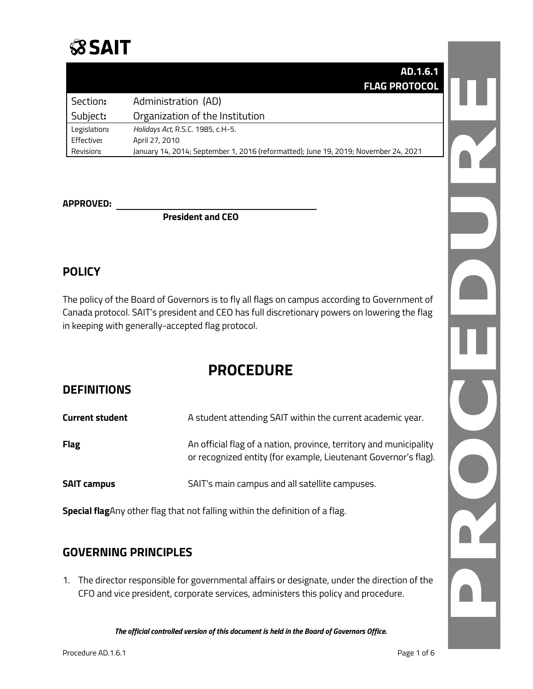# **SSAIT**

|              | AD.1.6.1                                                                            |
|--------------|-------------------------------------------------------------------------------------|
|              | <b>FLAG PROTOCOL</b>                                                                |
| Section:     | Administration (AD)                                                                 |
| Subject:     | Organization of the Institution                                                     |
| Legislation: | Holidays Act, R.S.C. 1985, c.H-5.                                                   |
| Effective:   | April 27, 2010                                                                      |
| Revision:    | January 14, 2014; September 1, 2016 (reformatted); June 19, 2019; November 24, 2021 |

#### **APPROVED:**

**President and CEO**

# **POLICY**

The policy of the Board of Governors is to fly all flags on campus according to Government of Canada protocol. SAIT's president and CEO has full discretionary powers on lowering the flag in keeping with generally-accepted flag protocol.

# **PROCEDURE**

# **DEFINITIONS**

| <b>Current student</b> | A student attending SAIT within the current academic year.                                                                            |
|------------------------|---------------------------------------------------------------------------------------------------------------------------------------|
| <b>Flag</b>            | An official flag of a nation, province, territory and municipality<br>or recognized entity (for example, Lieutenant Governor's flag). |
| <b>SAIT campus</b>     | SAIT's main campus and all satellite campuses.                                                                                        |

**Special flag**Any other flag that not falling within the definition of a flag.

# **GOVERNING PRINCIPLES**

1. The director responsible for governmental affairs or designate, under the direction of the CFO and vice president, corporate services, administers this policy and procedure.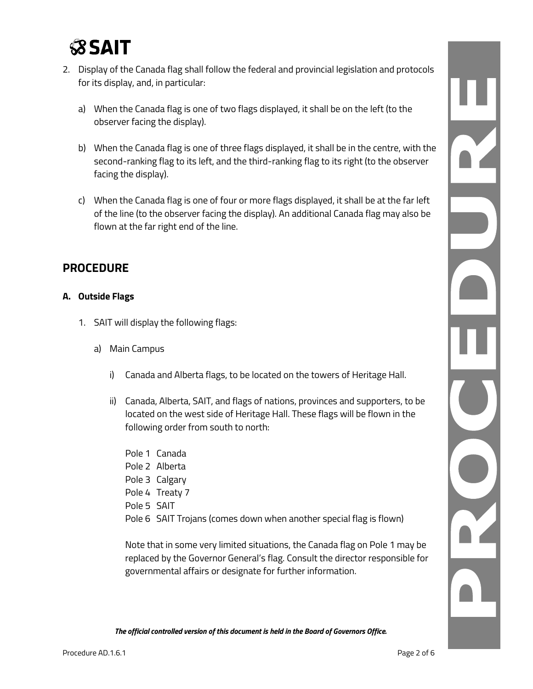

- 2. Display of the Canada flag shall follow the federal and provincial legislation and protocols for its display, and, in particular:
	- a) When the Canada flag is one of two flags displayed, it shall be on the left (to the observer facing the display).
	- b) When the Canada flag is one of three flags displayed, it shall be in the centre, with the second-ranking flag to its left, and the third-ranking flag to its right (to the observer facing the display).
	- c) When the Canada flag is one of four or more flags displayed, it shall be at the far left of the line (to the observer facing the display). An additional Canada flag may also be flown at the far right end of the line.

# **PROCEDURE**

#### **A. Outside Flags**

- 1. SAIT will display the following flags:
	- a) Main Campus
		- i) Canada and Alberta flags, to be located on the towers of Heritage Hall.
		- ii) Canada, Alberta, SAIT, and flags of nations, provinces and supporters, to be located on the west side of Heritage Hall. These flags will be flown in the following order from south to north:
			- Pole 1 Canada Pole 2 Alberta Pole 3 Calgary Pole 4 Treaty 7 Pole 5 SAIT Pole 6 SAIT Trojans (comes down when another special flag is flown)

Note that in some very limited situations, the Canada flag on Pole 1 may be replaced by the Governor General's flag. Consult the director responsible for governmental affairs or designate for further information.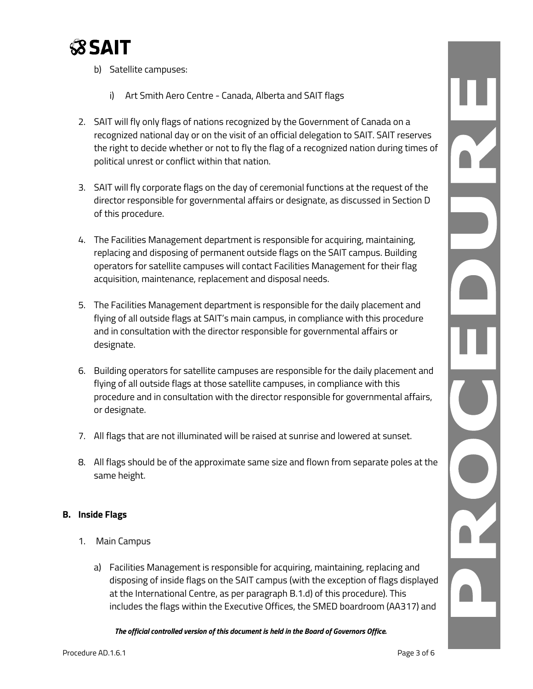

- b) Satellite campuses:
	- i) Art Smith Aero Centre Canada, Alberta and SAIT flags
- 2. SAIT will fly only flags of nations recognized by the Government of Canada on a recognized national day or on the visit of an official delegation to SAIT. SAIT reserves the right to decide whether or not to fly the flag of a recognized nation during times of political unrest or conflict within that nation.
- 3. SAIT will fly corporate flags on the day of ceremonial functions at the request of the director responsible for governmental affairs or designate, as discussed in Section D of this procedure.
- 4. The Facilities Management department is responsible for acquiring, maintaining, replacing and disposing of permanent outside flags on the SAIT campus. Building operators for satellite campuses will contact Facilities Management for their flag acquisition, maintenance, replacement and disposal needs.
- 5. The Facilities Management department is responsible for the daily placement and flying of all outside flags at SAIT's main campus, in compliance with this procedure and in consultation with the director responsible for governmental affairs or designate.
- 6. Building operators for satellite campuses are responsible for the daily placement and flying of all outside flags at those satellite campuses, in compliance with this procedure and in consultation with the director responsible for governmental affairs, or designate.
- 7. All flags that are not illuminated will be raised at sunrise and lowered at sunset.
- 8. All flags should be of the approximate same size and flown from separate poles at the same height.

#### **B. Inside Flags**

- 1. Main Campus
	- a) Facilities Management is responsible for acquiring, maintaining, replacing and disposing of inside flags on the SAIT campus (with the exception of flags displayed at the International Centre, as per paragraph B.1.d) of this procedure). This includes the flags within the Executive Offices, the SMED boardroom (AA317) and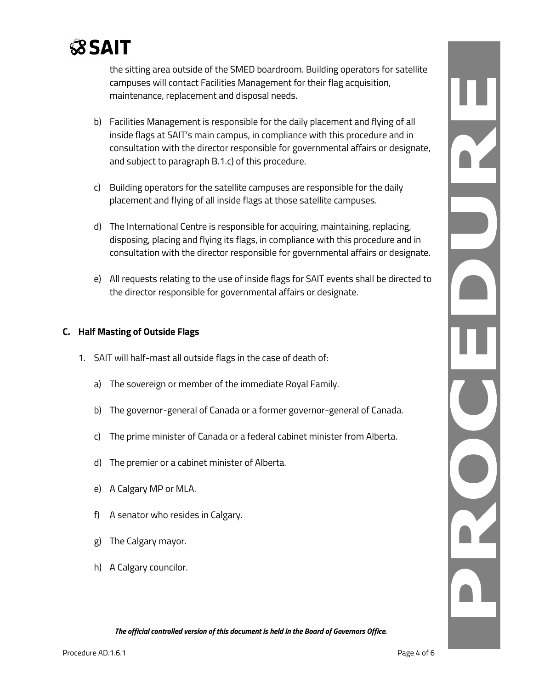

the sitting area outside of the SMED boardroom. Building operators for satellite campuses will contact Facilities Management for their flag acquisition, maintenance, replacement and disposal needs.

- b) Facilities Management is responsible for the daily placement and flying of all inside flags at SAIT's main campus, in compliance with this procedure and in consultation with the director responsible for governmental affairs or designate, and subject to paragraph B.1.c) of this procedure.
- c) Building operators for the satellite campuses are responsible for the daily placement and flying of all inside flags at those satellite campuses.
- d) The International Centre is responsible for acquiring, maintaining, replacing, disposing, placing and flying its flags, in compliance with this procedure and in consultation with the director responsible for governmental affairs or designate.
- e) All requests relating to the use of inside flags for SAIT events shall be directed to the director responsible for governmental affairs or designate.

#### **C. Half Masting of Outside Flags**

- 1. SAIT will half-mast all outside flags in the case of death of:
	- a) The sovereign or member of the immediate Royal Family.
	- b) The governor-general of Canada or a former governor-general of Canada.
	- c) The prime minister of Canada or a federal cabinet minister from Alberta.
	- d) The premier or a cabinet minister of Alberta.
	- e) A Calgary MP or MLA.
	- f) A senator who resides in Calgary.
	- g) The Calgary mayor.
	- h) A Calgary councilor.

*The official controlled version of this document is held in the Board of Governors Office.*

 $\frac{1}{\sqrt{2}}$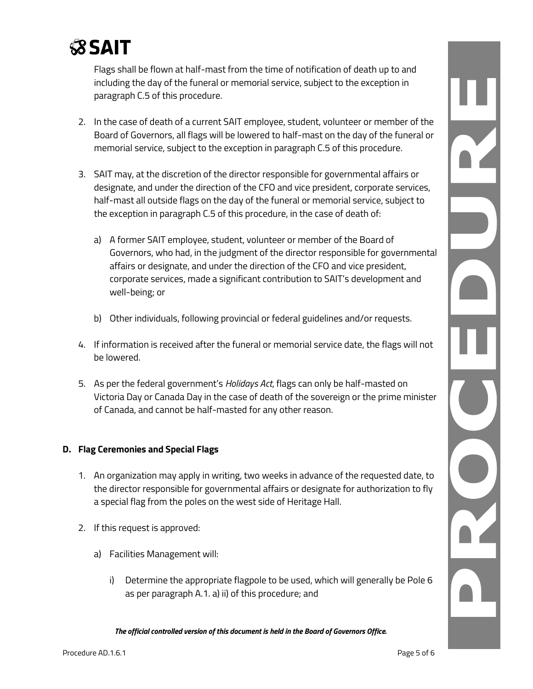

Flags shall be flown at half-mast from the time of notification of death up to and including the day of the funeral or memorial service, subject to the exception in paragraph C.5 of this procedure.

- 2. In the case of death of a current SAIT employee, student, volunteer or member of the Board of Governors, all flags will be lowered to half-mast on the day of the funeral or memorial service, subject to the exception in paragraph C.5 of this procedure.
- 3. SAIT may, at the discretion of the director responsible for governmental affairs or designate, and under the direction of the CFO and vice president, corporate services, half-mast all outside flags on the day of the funeral or memorial service, subject to the exception in paragraph C.5 of this procedure, in the case of death of:
	- a) A former SAIT employee, student, volunteer or member of the Board of Governors, who had, in the judgment of the director responsible for governmental affairs or designate, and under the direction of the CFO and vice president, corporate services, made a significant contribution to SAIT's development and well-being; or
	- b) Other individuals, following provincial or federal guidelines and/or requests.
- 4. If information is received after the funeral or memorial service date, the flags will not be lowered.
- 5. As per the federal government's *Holidays Act*, flags can only be half-masted on Victoria Day or Canada Day in the case of death of the sovereign or the prime minister of Canada, and cannot be half-masted for any other reason.

#### **D. Flag Ceremonies and Special Flags**

- 1. An organization may apply in writing, two weeks in advance of the requested date, to the director responsible for governmental affairs or designate for authorization to fly a special flag from the poles on the west side of Heritage Hall.
- 2. If this request is approved:
	- a) Facilities Management will:
		- i) Determine the appropriate flagpole to be used, which will generally be Pole 6 as per paragraph A.1. a) ii) of this procedure; and